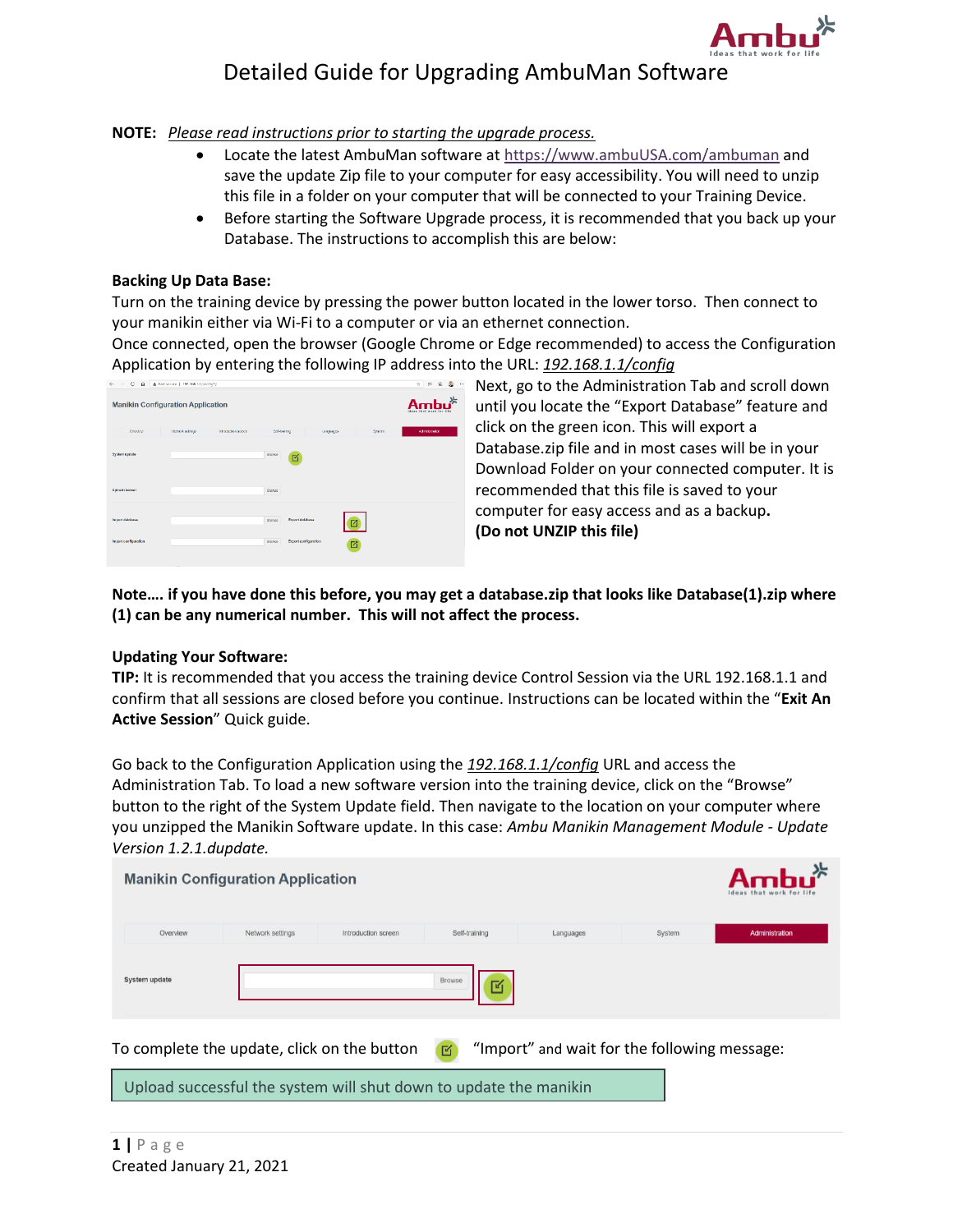

## Detailed Guide for Upgrading AmbuMan Software

**NOTE:** *Please read instructions prior to starting the upgrade process.*

- Locate the latest AmbuMan software at [https://www.ambuUSA.com/a](https://www.ambuusa.com/)mbuman and save the update Zip file to your computer for easy accessibility. You will need to unzip this file in a folder on your computer that will be connected to your Training Device.
- Before starting the Software Upgrade process, it is recommended that you back up your Database. The instructions to accomplish this are below:

## **Backing Up Data Base:**

Turn on the training device by pressing the power button located in the lower torso. Then connect to your manikin either via Wi-Fi to a computer or via an ethernet connection.

Once connected, open the browser (Google Chrome or Edge recommended) to access the Configuration Application by entering the following IP address into the URL: *192.168.1.1/config*

| $\leftarrow$<br>٥<br>$\Omega$<br>$\rightarrow$ | A Not secure   192.168.1.1/configh/ |                     |                                  |                           |        | $\pm$ 2 0<br>$\frac{1}{2}$ |
|------------------------------------------------|-------------------------------------|---------------------|----------------------------------|---------------------------|--------|----------------------------|
| <b>Manikin Configuration Application</b>       |                                     |                     |                                  |                           |        | $-1.35$<br>$A -$           |
| Coordow                                        | Notwork settings                    | Intraduction across | Sci-Inishing                     | Lenguages                 | System | Administrator              |
| System update                                  |                                     |                     | Drowse<br>囼                      |                           |        |                            |
| Upload manual                                  |                                     |                     | Brasse                           |                           |        |                            |
| Import database                                |                                     |                     | Export database<br><b>Browne</b> | $\boxtimes$               |        |                            |
| Import configuration                           |                                     |                     | Browse                           | Export configuration<br>ø |        |                            |

Next, go to the Administration Tab and scroll down until you locate the "Export Database" feature and click on the green icon. This will export a Database.zip file and in most cases will be in your Download Folder on your connected computer. It is recommended that this file is saved to your computer for easy access and as a backup**. (Do not UNZIP this file)**

**Note…. if you have done this before, you may get a database.zip that looks like Database(1).zip where (1) can be any numerical number. This will not affect the process.**

## **Updating Your Software:**

**TIP:** It is recommended that you access the training device Control Session via the URL 192.168.1.1 and confirm that all sessions are closed before you continue. Instructions can be located within the "**Exit An Active Session**" Quick guide.

Go back to the Configuration Application using the *192.168.1.1/config* URL and access the Administration Tab. To load a new software version into the training device, click on the "Browse" button to the right of the System Update field. Then navigate to the location on your computer where you unzipped the Manikin Software update. In this case: *Ambu Manikin Management Module - Update Version 1.2.1.dupdate.*

| <b>Manikin Configuration Application</b> | Ambu $*$<br>Ideas that work for life |                     |               |           |        |                |
|------------------------------------------|--------------------------------------|---------------------|---------------|-----------|--------|----------------|
| Overview                                 | Network settings                     | Introduction screen | Self-training | Languages | System | Administration |
| System update                            |                                      |                     | Browse<br>層   |           |        |                |

To complete the update, click on the button  $\Box$  "Import" and wait for the following message:

Upload successful the system will shut down to update the manikin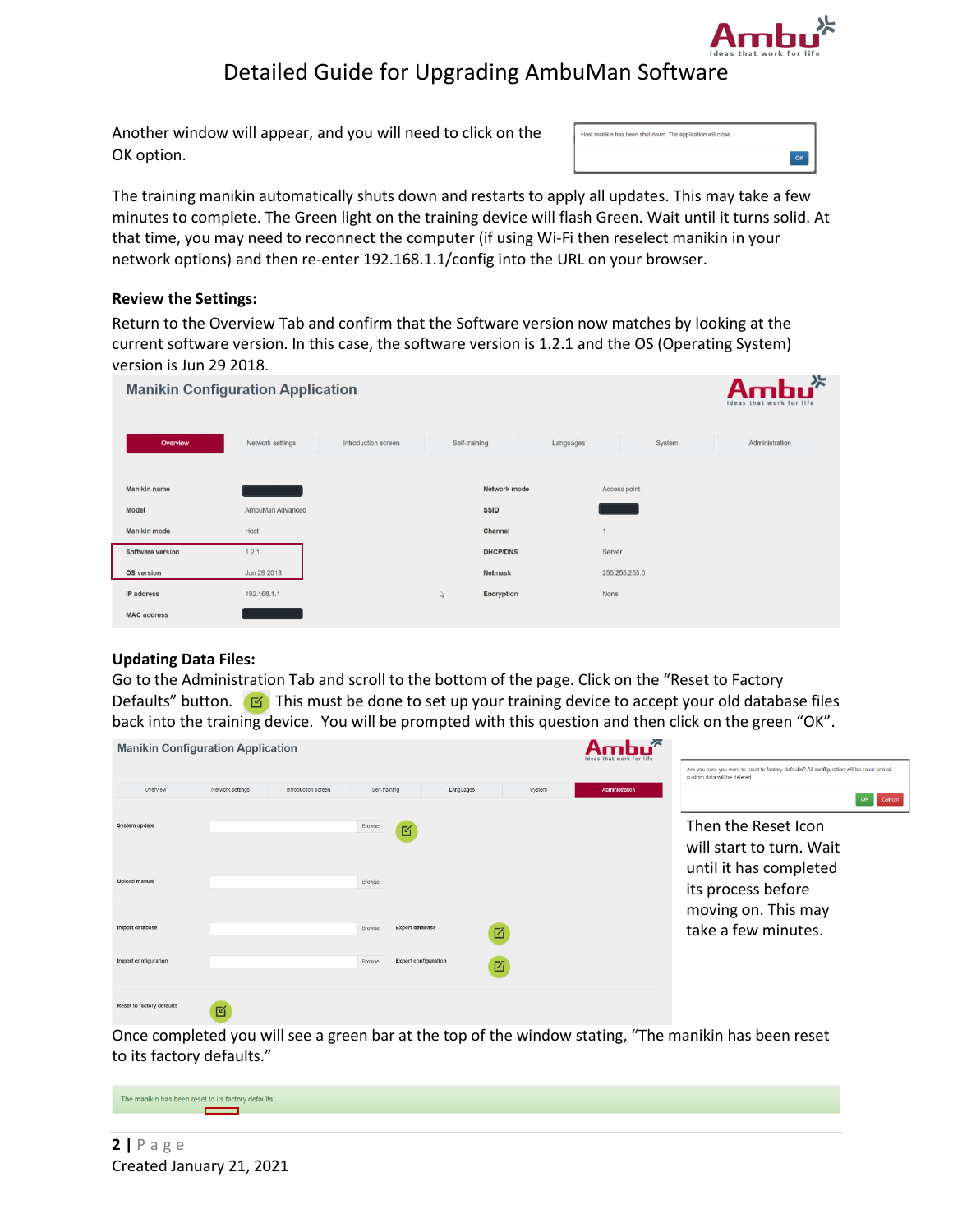

# Detailed Guide for Upgrading AmbuMan Software

Another window will appear, and you will need to click on the OK option.

| Host manikin has been shut down. The application will close. |  |
|--------------------------------------------------------------|--|
|                                                              |  |

The training manikin automatically shuts down and restarts to apply all updates. This may take a few minutes to complete. The Green light on the training device will flash Green. Wait until it turns solid. At that time, you may need to reconnect the computer (if using Wi-Fi then reselect manikin in your network options) and then re-enter 192.168.1.1/config into the URL on your browser.

### **Review the Settings:**

Return to the Overview Tab and confirm that the Software version now matches by looking at the current software version. In this case, the software version is 1.2.1 and the OS (Operating System) version is Jun 29 2018.

| <b>Manikin Configuration Application</b> | $-25$<br>Am <sub>L</sub><br>Ideas that work for life |                     |               |                 |           |               |                |
|------------------------------------------|------------------------------------------------------|---------------------|---------------|-----------------|-----------|---------------|----------------|
| Overview                                 | Network settings                                     | Introduction screen | Self-training |                 | Languages | System        | Administration |
| Manikin name                             |                                                      |                     |               | Network mode    |           | Access point  |                |
| Model                                    | AmbuMan Advanced                                     |                     |               | <b>SSID</b>     |           |               |                |
| Manikin mode                             | Host                                                 |                     |               | Channel         |           |               |                |
| Software version                         | 1.2.1                                                |                     |               | <b>DHCP/DNS</b> |           | Server        |                |
| OS version                               | Jun 29 2018                                          |                     |               | Netmask         |           | 255.255.255.0 |                |
| IP address                               | 192.168.1.1                                          |                     | $\mathbb{Z}$  | Encryption      |           | None          |                |
| <b>MAC</b> address                       |                                                      |                     |               |                 |           |               |                |

## **Updating Data Files:**

Go to the Administration Tab and scroll to the bottom of the page. Click on the "Reset to Factory Defaults" button.  $\boxed{16}$  This must be done to set up your training device to accept your old database files back into the training device. You will be prompted with this question and then click on the green "OK".

| <b>Manikin Configuration Application</b> |                  |                     |                                  |                             |        | Ideas that work for life |                                                                                                                            |
|------------------------------------------|------------------|---------------------|----------------------------------|-----------------------------|--------|--------------------------|----------------------------------------------------------------------------------------------------------------------------|
|                                          |                  |                     |                                  |                             |        |                          | Are you sure you want to reset to factory defaults? All configuration will be reset and all<br>custom data will be deleted |
| Overview                                 | Network settings | Introduction screen | Self-training                    | Languages                   | System | Administration           | OK<br>Cancel                                                                                                               |
| System update                            |                  |                     | Browse<br>匠                      |                             |        |                          | Then the Reset Icon<br>will start to turn. Wait                                                                            |
| Upload manual                            |                  |                     | Browse                           |                             |        |                          | until it has completed<br>its process before                                                                               |
| Import database                          |                  |                     | <b>Export database</b><br>Browse |                             | ☑      |                          | moving on. This may<br>take a few minutes.                                                                                 |
| Import configuration                     |                  |                     | Browse                           | <b>Export configuration</b> | 囜      |                          |                                                                                                                            |
| Reset to factory defaults                | 岡                |                     |                                  |                             |        |                          |                                                                                                                            |

Once completed you will see a green bar at the top of the window stating, "The manikin has been reset to its factory defaults."

The manikin has been reset to its factory defaults